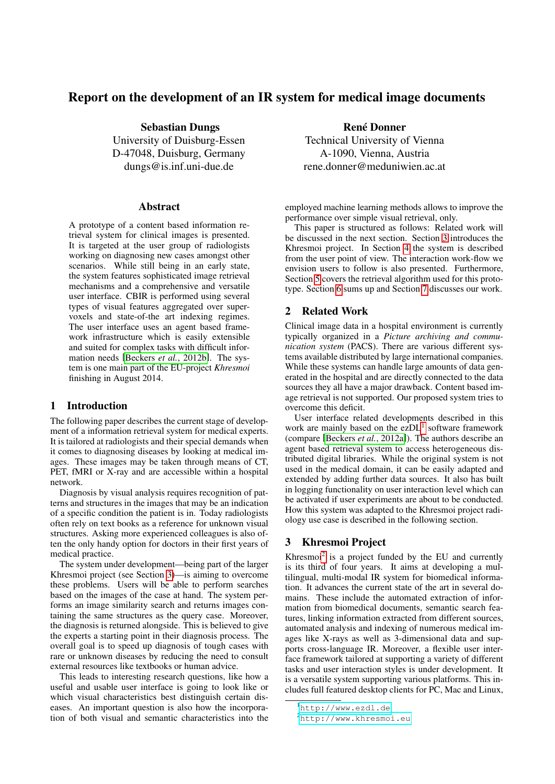# Report on the development of an IR system for medical image documents

Sebastian Dungs University of Duisburg-Essen D-47048, Duisburg, Germany dungs@is.inf.uni-due.de

#### Abstract

A prototype of a content based information retrieval system for clinical images is presented. It is targeted at the user group of radiologists working on diagnosing new cases amongst other scenarios. While still being in an early state, the system features sophisticated image retrieval mechanisms and a comprehensive and versatile user interface. CBIR is performed using several types of visual features aggregated over supervoxels and state-of-the art indexing regimes. The user interface uses an agent based framework infrastructure which is easily extensible and suited for complex tasks with difficult information needs [\[Beckers](#page-3-0) *et al.*, 2012b]. The system is one main part of the EU-project *Khresmoi* finishing in August 2014.

# <span id="page-0-3"></span>1 Introduction

The following paper describes the current stage of development of a information retrieval system for medical experts. It is tailored at radiologists and their special demands when it comes to diagnosing diseases by looking at medical images. These images may be taken through means of CT, PET, fMRI or X-ray and are accessible within a hospital network.

Diagnosis by visual analysis requires recognition of patterns and structures in the images that may be an indication of a specific condition the patient is in. Today radiologists often rely on text books as a reference for unknown visual structures. Asking more experienced colleagues is also often the only handy option for doctors in their first years of medical practice.

The system under development—being part of the larger Khresmoi project (see Section [3\)](#page-0-0)—is aiming to overcome these problems. Users will be able to perform searches based on the images of the case at hand. The system performs an image similarity search and returns images containing the same structures as the query case. Moreover, the diagnosis is returned alongside. This is believed to give the experts a starting point in their diagnosis process. The overall goal is to speed up diagnosis of tough cases with rare or unknown diseases by reducing the need to consult external resources like textbooks or human advice.

This leads to interesting research questions, like how a useful and usable user interface is going to look like or which visual characteristics best distinguish certain diseases. An important question is also how the incorporation of both visual and semantic characteristics into the

René Donner Technical University of Vienna A-1090, Vienna, Austria rene.donner@meduniwien.ac.at

employed machine learning methods allows to improve the performance over simple visual retrieval, only.

This paper is structured as follows: Related work will be discussed in the next section. Section [3](#page-0-0) introduces the Khresmoi project. In Section [4](#page-1-0) the system is described from the user point of view. The interaction work-flow we envision users to follow is also presented. Furthermore, Section [5](#page-1-1) covers the retrieval algorithm used for this prototype. Section [6](#page-3-1) sums up and Section [7](#page-3-2) discusses our work.

## 2 Related Work

Clinical image data in a hospital environment is currently typically organized in a *Picture archiving and communication system* (PACS). There are various different systems available distributed by large international companies. While these systems can handle large amounts of data generated in the hospital and are directly connected to the data sources they all have a major drawback. Content based image retrieval is not supported. Our proposed system tries to overcome this deficit.

User interface related developments described in this work are mainly based on the ezDL<sup>[1](#page-0-1)</sup> software framework (compare [\[Beckers](#page-3-3) *et al.*, 2012a]). The authors describe an agent based retrieval system to access heterogeneous distributed digital libraries. While the original system is not used in the medical domain, it can be easily adapted and extended by adding further data sources. It also has built in logging functionality on user interaction level which can be activated if user experiments are about to be conducted. How this system was adapted to the Khresmoi project radiology use case is described in the following section.

#### <span id="page-0-0"></span>3 Khresmoi Project

Khresmoi<sup>[2](#page-0-2)</sup> is a project funded by the EU and currently is its third of four years. It aims at developing a multilingual, multi-modal IR system for biomedical information. It advances the current state of the art in several domains. These include the automated extraction of information from biomedical documents, semantic search features, linking information extracted from different sources, automated analysis and indexing of numerous medical images like X-rays as well as 3-dimensional data and supports cross-language IR. Moreover, a flexible user interface framework tailored at supporting a variety of different tasks and user interaction styles is under development. It is a versatile system supporting various platforms. This includes full featured desktop clients for PC, Mac and Linux,

<span id="page-0-1"></span><sup>1</sup><http://www.ezdl.de>

<span id="page-0-2"></span><sup>2</sup><http://www.khresmoi.eu>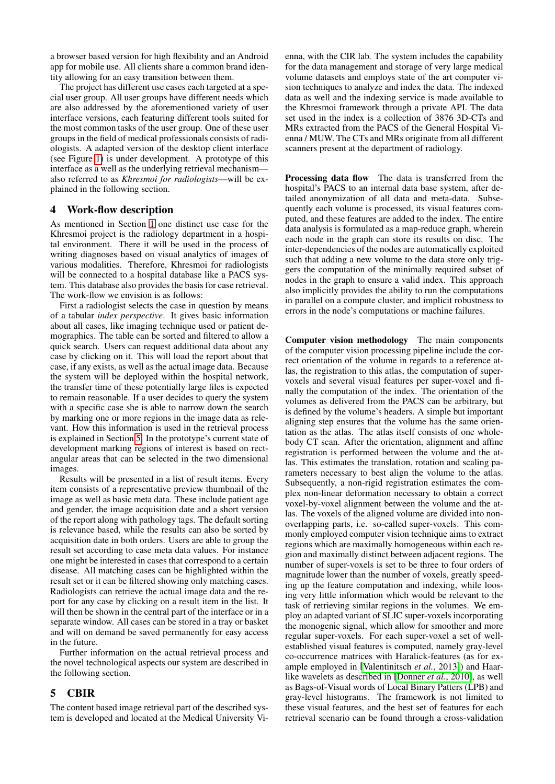a browser based version for high flexibility and an Android app for mobile use. All clients share a common brand identity allowing for an easy transition between them.

The project has different use cases each targeted at a special user group. All user groups have different needs which are also addressed by the aforementioned variety of user interface versions, each featuring different tools suited for the most common tasks of the user group. One of these user groups in the field of medical professionals consists of radiologists. A adapted version of the desktop client interface (see Figure [1\)](#page-2-0) is under development. A prototype of this interface as a well as the underlying retrieval mechanism also referred to as *Khresmoi for radiologists*—will be explained in the following section.

#### <span id="page-1-0"></span>4 Work-flow description

As mentioned in Section [1](#page-0-3) one distinct use case for the Khresmoi project is the radiology department in a hospital environment. There it will be used in the process of writing diagnoses based on visual analytics of images of various modalities. Therefore, Khresmoi for radiologists will be connected to a hospital database like a PACS system. This database also provides the basis for case retrieval. The work-flow we envision is as follows:

First a radiologist selects the case in question by means of a tabular *index perspective*. It gives basic information about all cases, like imaging technique used or patient demographics. The table can be sorted and filtered to allow a quick search. Users can request additional data about any case by clicking on it. This will load the report about that case, if any exists, as well as the actual image data. Because the system will be deployed within the hospital network, the transfer time of these potentially large files is expected to remain reasonable. If a user decides to query the system with a specific case she is able to narrow down the search by marking one or more regions in the image data as relevant. How this information is used in the retrieval process is explained in Section [5.](#page-1-1) In the prototype's current state of development marking regions of interest is based on rectangular areas that can be selected in the two dimensional images.

Results will be presented in a list of result items. Every item consists of a representative preview thumbnail of the image as well as basic meta data. These include patient age and gender, the image acquisition date and a short version of the report along with pathology tags. The default sorting is relevance based, while the results can also be sorted by acquisition date in both orders. Users are able to group the result set according to case meta data values. For instance one might be interested in cases that correspond to a certain disease. All matching cases can be highlighted within the result set or it can be filtered showing only matching cases. Radiologists can retrieve the actual image data and the report for any case by clicking on a result item in the list. It will then be shown in the central part of the interface or in a separate window. All cases can be stored in a tray or basket and will on demand be saved permanently for easy access in the future.

Further information on the actual retrieval process and the novel technological aspects our system are described in the following section.

## <span id="page-1-1"></span>5 CBIR

The content based image retrieval part of the described system is developed and located at the Medical University Vienna, with the CIR lab. The system includes the capability for the data management and storage of very large medical volume datasets and employs state of the art computer vision techniques to analyze and index the data. The indexed data as well and the indexing service is made available to the Khresmoi framework through a private API. The data set used in the index is a collection of 3876 3D-CTs and MRs extracted from the PACS of the General Hospital Vienna / MUW. The CTs and MRs originate from all different scanners present at the department of radiology.

Processing data flow The data is transferred from the hospital's PACS to an internal data base system, after detailed anonymization of all data and meta-data. Subsequently each volume is processed, its visual features computed, and these features are added to the index. The entire data analysis is formulated as a map-reduce graph, wherein each node in the graph can store its results on disc. The inter-dependencies of the nodes are automatically exploited such that adding a new volume to the data store only triggers the computation of the minimally required subset of nodes in the graph to ensure a valid index. This approach also implicitly provides the ability to run the computations in parallel on a compute cluster, and implicit robustness to errors in the node's computations or machine failures.

Computer vision methodology The main components of the computer vision processing pipeline include the correct orientation of the volume in regards to a reference atlas, the registration to this atlas, the computation of supervoxels and several visual features per super-voxel and finally the computation of the index. The orientation of the volumes as delivered from the PACS can be arbitrary, but is defined by the volume's headers. A simple but important aligning step ensures that the volume has the same orientation as the atlas. The atlas itself consists of one wholebody CT scan. After the orientation, alignment and affine registration is performed between the volume and the atlas. This estimates the translation, rotation and scaling parameters necessary to best align the volume to the atlas. Subsequently, a non-rigid registration estimates the complex non-linear deformation necessary to obtain a correct voxel-by-voxel alignment between the volume and the atlas. The voxels of the aligned volume are divided into nonoverlapping parts, i.e. so-called super-voxels. This commonly employed computer vision technique aims to extract regions which are maximally homogeneous within each region and maximally distinct between adjacent regions. The number of super-voxels is set to be three to four orders of magnitude lower than the number of voxels, greatly speeding up the feature computation and indexing, while loosing very little information which would be relevant to the task of retrieving similar regions in the volumes. We employ an adapted variant of SLIC super-voxels incorporating the monogenic signal, which allow for smoother and more regular super-voxels. For each super-voxel a set of wellestablished visual features is computed, namely gray-level co-occurrence matrices with Haralick-features (as for example employed in [\[Valentinitsch](#page-3-4) *et al.*, 2013]) and Haarlike wavelets as described in [\[Donner](#page-3-5) *et al.*, 2010], as well as Bags-of-Visual words of Local Binary Patters (LPB) and gray-level histograms. The framework is not limited to these visual features, and the best set of features for each retrieval scenario can be found through a cross-validation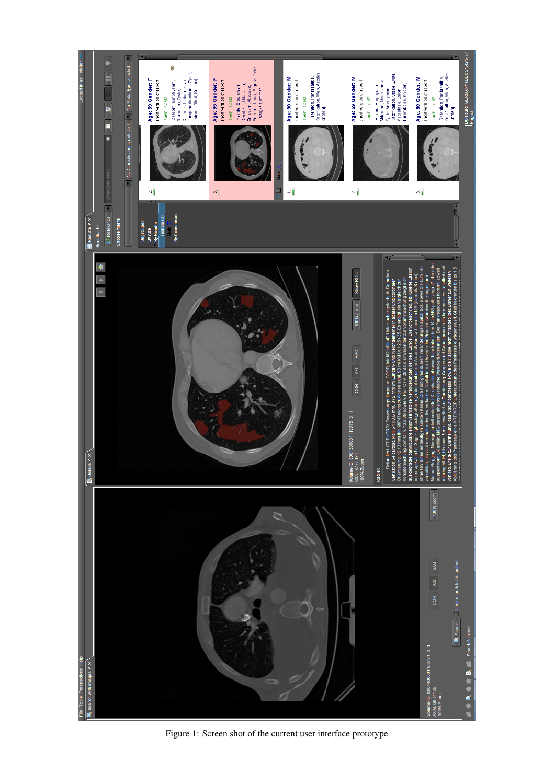<span id="page-2-0"></span>

Figure 1: Screen shot of the current user interface prototype